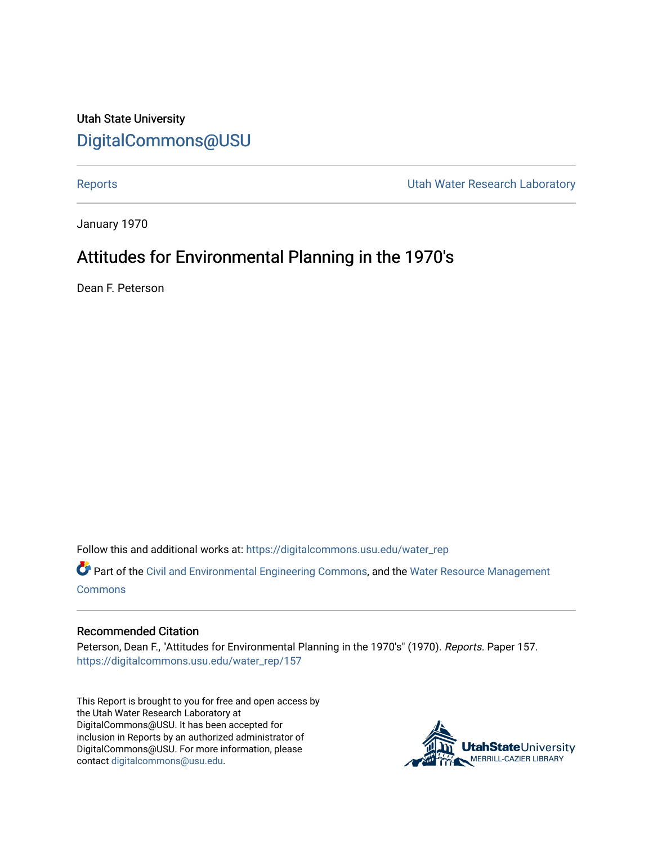# Utah State University [DigitalCommons@USU](https://digitalcommons.usu.edu/)

[Reports](https://digitalcommons.usu.edu/water_rep) **National Community Community** Channel Community Utah Water Research Laboratory

January 1970

# Attitudes for Environmental Planning in the 1970's

Dean F. Peterson

Follow this and additional works at: [https://digitalcommons.usu.edu/water\\_rep](https://digitalcommons.usu.edu/water_rep?utm_source=digitalcommons.usu.edu%2Fwater_rep%2F157&utm_medium=PDF&utm_campaign=PDFCoverPages) 

Part of the [Civil and Environmental Engineering Commons](http://network.bepress.com/hgg/discipline/251?utm_source=digitalcommons.usu.edu%2Fwater_rep%2F157&utm_medium=PDF&utm_campaign=PDFCoverPages), and the [Water Resource Management](http://network.bepress.com/hgg/discipline/1057?utm_source=digitalcommons.usu.edu%2Fwater_rep%2F157&utm_medium=PDF&utm_campaign=PDFCoverPages) [Commons](http://network.bepress.com/hgg/discipline/1057?utm_source=digitalcommons.usu.edu%2Fwater_rep%2F157&utm_medium=PDF&utm_campaign=PDFCoverPages)

## Recommended Citation

Peterson, Dean F., "Attitudes for Environmental Planning in the 1970's" (1970). Reports. Paper 157. [https://digitalcommons.usu.edu/water\\_rep/157](https://digitalcommons.usu.edu/water_rep/157?utm_source=digitalcommons.usu.edu%2Fwater_rep%2F157&utm_medium=PDF&utm_campaign=PDFCoverPages)

This Report is brought to you for free and open access by the Utah Water Research Laboratory at DigitalCommons@USU. It has been accepted for inclusion in Reports by an authorized administrator of DigitalCommons@USU. For more information, please contact [digitalcommons@usu.edu](mailto:digitalcommons@usu.edu).

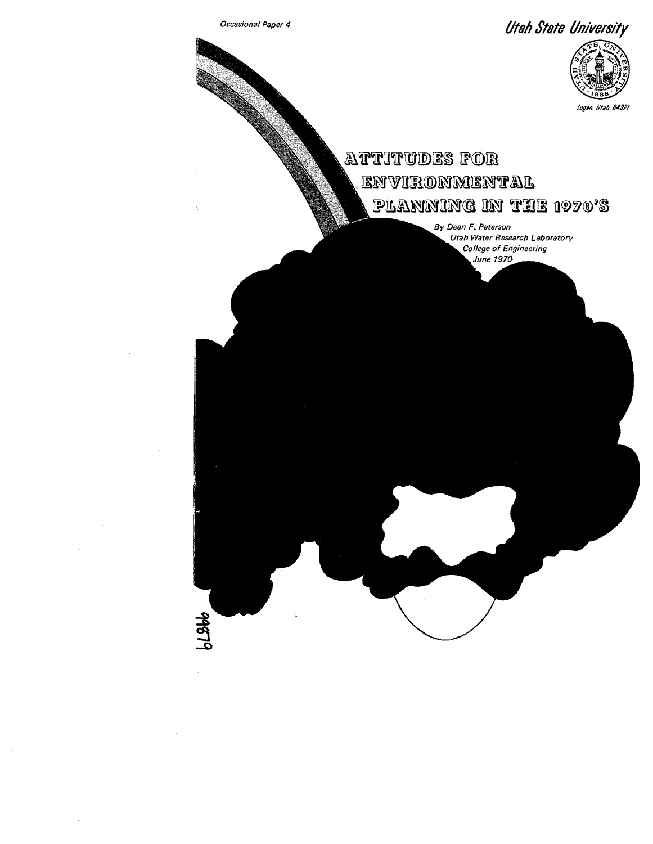

 $61866$ 

*Occasional Paper 4 Utan State University* 



# $~$ ATTITUDES FOR environmental PLANNING IN THE 1970'S

*By Dean F. Peterson Utah Water Research Laboratory* College of Engineering June 1970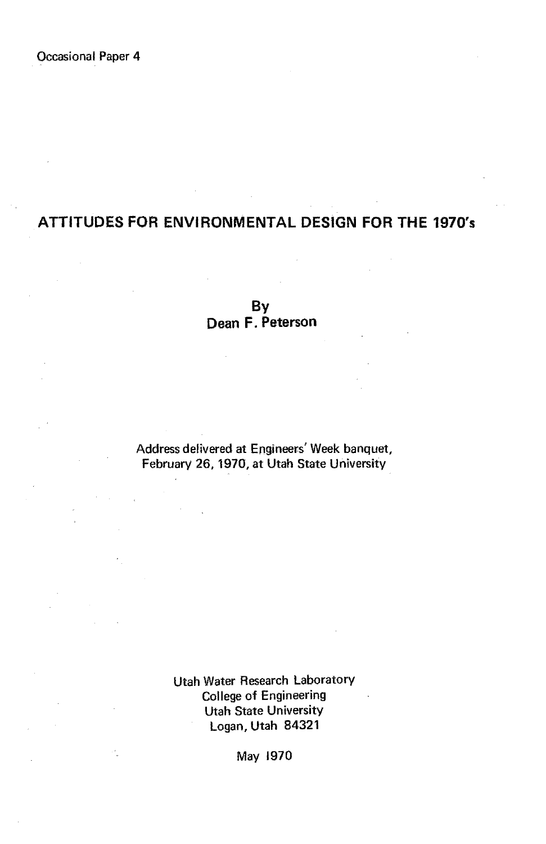## **ATTITUDES FOR ENVIRONMENTAL DESIGN FOR THE 1970's**

**By Dean F. Peterson** 

Address delivered at Engineers' Week banquet, February 26,1970, at Utah State University

> Utah Water Research Laboratory College of Engineering Utah State University Logan, Utah 84321

> > May 1970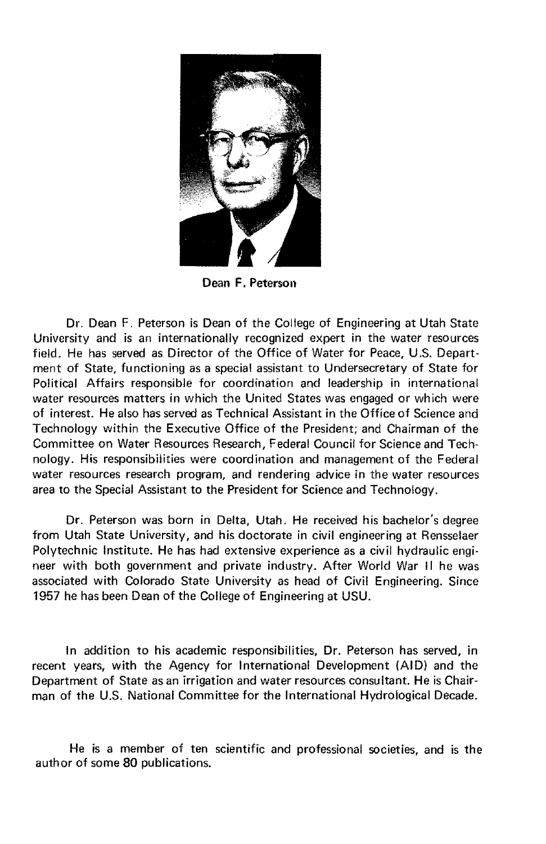

Dean F. Peterson

Dr. Dean F. Peterson is Dean of the College of Engineering at Utah State University and is an internationally recognized expert in the water resources field. He has served as Director of the Office of Water for Peace, U.S. Department of State, functioning as a special assistant to Undersecretary of State for Political Affairs responsible for coordination and leadership in international water resources matters in which the United States was engaged or which were of interest. He also has served as Technical Assistant in the Office of Science and Technology within the Executive Office of the President; and Chairman of the Committee on Water Resources Research, Federal Council for Science and Technology. His responsibilities were coordination and management of the Federal water resources research program, and rendering advice in the water resources area to the Special Assistant to the President for Science and Technology.

Dr. Peterson was born in Delta, Utah. He received his bachelor's degree from Utah State University, and his doctorate in civil engineering at Rensselaer Polytechnic Institute. He has had extensive experience as a civil hydraulic engineer with both government and private industry. After World War II he was associated with Colorado State University as head of Civil Engineering. Since 1957 he has been Dean of the College of Engineering at USU.

In addition to his academic responsibilities, Dr. Peterson has served, in recent years, with the Agency for International Development (AID) and the Department of State as an irrigation and water resources consultant. He is Chairman of the U.S. National Committee for the International Hydrological Decade.

He is a member of ten scientific and professional societies, and is the author of some 80 publications.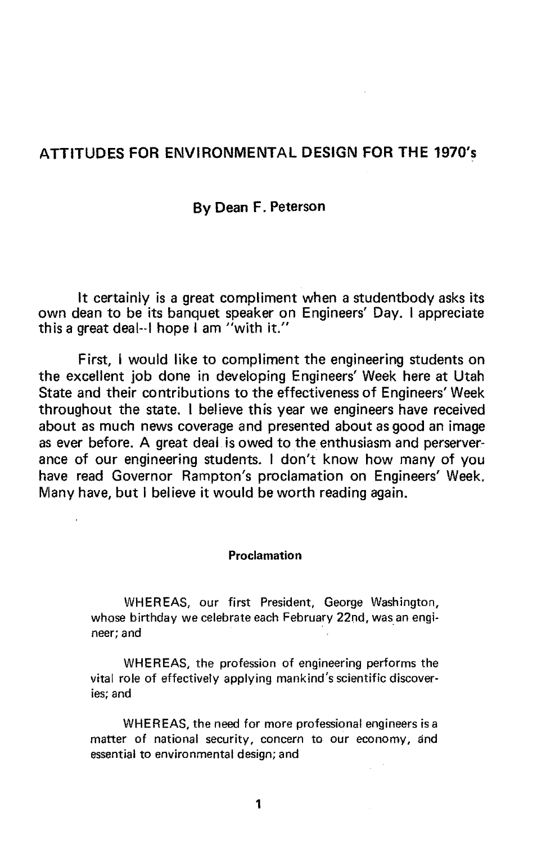### ATTITUDES FOR ENVIRONMENTAL DESIGN FOR THE 1970's

#### By Dean F. Peterson

It certainly is a great compliment when a studentbody asks its own dean to be its banquet speaker on Engineers' Day. I appreciate this a great deal--I hope I am "with it."

First, I would like to compliment the engineering students on the excellent job done in developing Engineers' Week here at Utah State and their contributions to the effectiveness of Engineers' Week throughout the state. I believe this year we engineers have received about as much news coverage and presented about as good an image as ever before. A great deal is owed to the enthusiasm and perserverance of our engineering students. I don't know how many of you have read Governor Rampton's proclamation on Engineers' Week. Many have, but I believe it would be worth reading again.

#### **Proclamation**

WHEREAS, our first President, George Washington, whose birthday we celebrate each February 22nd, was an engineer; and .

WHEREAS, the profession of engineering performs the vital role of effectively applying mankind's scientific discoveries; and

WHEREAS, the need for more professional engineers isa matter of national security, concern to our economy, and essential to environmental design; and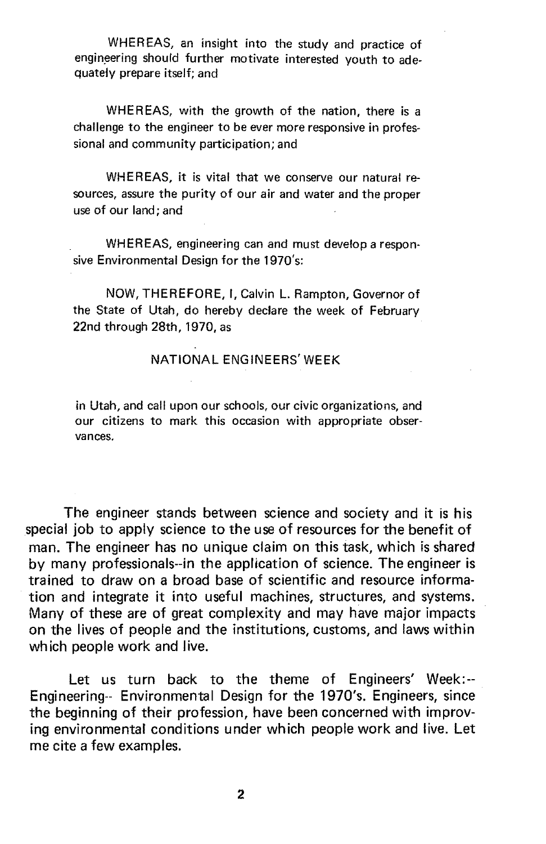WHEREAS, an insight into the study and practice of engineering should further motivate interested youth to adequately prepare itself; and

WHEREAS, with the growth of the nation. there is a challenge to the engineer to be ever more responsive in professional and community participation; and

WHEREAS, it is vital that we conserve our natural resources, assure the purity of our air and water and the proper use of our land; and

WHEREAS. engineering can and must develop a responsive Environmental Design for the 1970's:

NOW, THEREFORE, I, Calvin L. Rampton, Governor of the State of Utah, do hereby declare the week of February 22nd through 28th, 1970, as

#### NATIONAL ENGINEERS' WEEK

in Utah, and call upon our schools, our civic organizations, and our citizens to mark this occasion with appropriate observances.

The engineer stands between science and society and it is his special job to apply science to the use of resources for the benefit of man. The engineer has no unique claim on this task, which is shared by many professionals--in the application of science. The engineer is trained to draw on a broad base of scientific and resource information and integrate it into useful machines, structures, and systems. Many of these are of great complexity and may have major impacts on the lives of people and the institutions, customs, and laws within which people work and live.

Let us turn back to the theme of Engineers' Week:-- Engineering-- Environmental Design for the 1970's. Engineers, since the beginning of their profession, have been concerned with improving environmental conditions under which people work and live. Let me cite a few examples.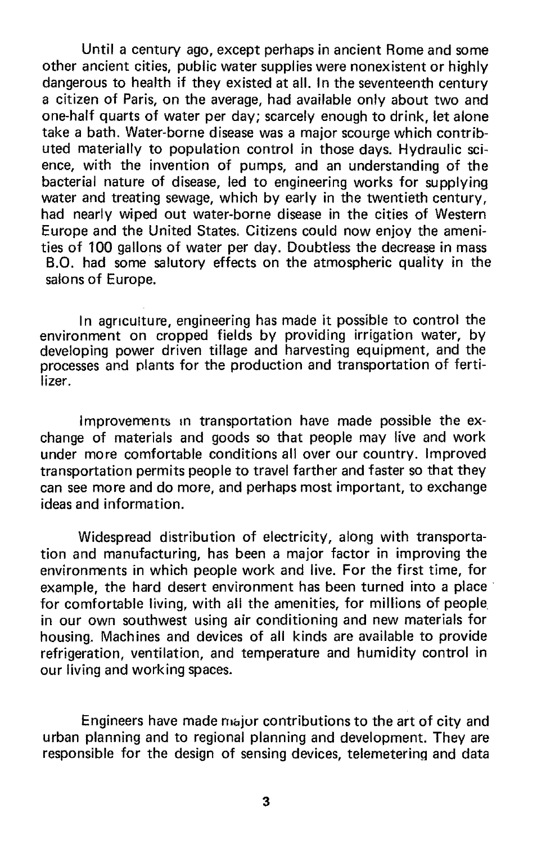Until a century ago, except perhaps in ancient Rome and some other ancient cities, public water supplies were nonexistent or highly dangerous to health if they existed at all. In the seventeenth century a citizen of Paris, on the average, had available only about two and one-half quarts of water per day; scarcely enough to drink, let alone take a bath. Water-borne disease was a major scourge which contributed materially to population control in those days. Hydraulic science, with the invention of pumps, and an understanding of the bacterial nature of disease, led to engineering works for supplying water and treating sewage, which by early in the twentieth century, had nearly wiped out water-borne disease in the cities of Western Europe and the United States. Citizens could now enjoy the amenities of 100 gallons of water per day. Doubtless the decrease in mass B.O. had some salutory effects on the atmospheric quality in the salons of Europe.

In agriculture, engineering has made it possible to control the environment on cropped fields by providing irrigation water, by developing power driven tillage and harvesting equipment, and the processes and plants for the production and transportation of fertilizer.

Improvements In transportation have made possible the exchange of materials and goods so that people may live and work under more comfortable conditions all over our country. Improved transportation permits people to travel farther and faster so that they can see more and do more, and perhaps most important, to exchange ideas and information.

Widespread distribution of electricity, along with transportation and manufacturing, has been a major factor in improving the environments in which people work and live. For the first time, for example, the hard desert environment has been turned into a place for comfortable living, with all the amenities, for millions of people in our own southwest using air conditioning and new materials for housing. Machines and devices of all kinds are available to provide refrigeration, ventilation, and temperature and humidity control in our living and working spaces.

Engineers have made major contributions to the art of city and urban planning and to regional planning and development. They are responsible for the design of sensing devices, telemetering and data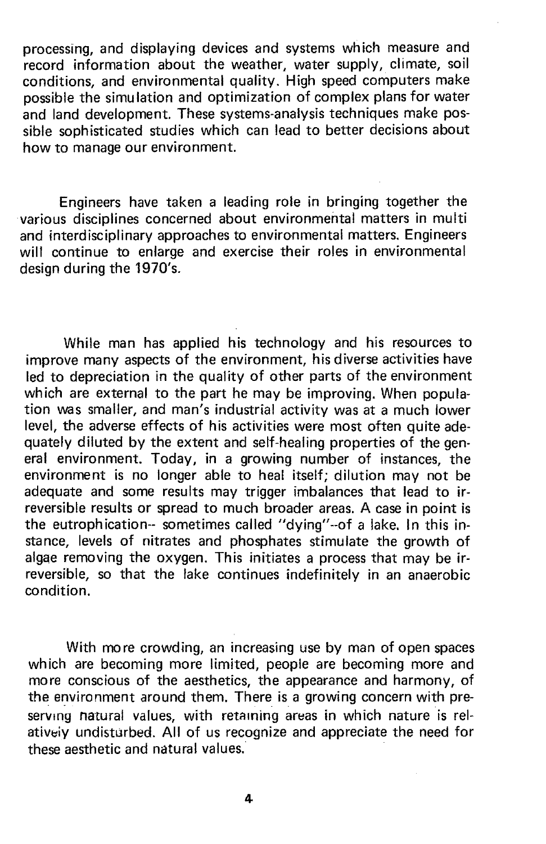processing, and displaying devices and systems which measure and record information about the weather, water supply, climate, soil conditions, and environmental quality. High speed computers make possible the simulation and optimization of complex plans for water and land development. These systems-analysis techniques make possible sophisticated studies which can lead to better decisions about how to manage our environment.

Engineers have taken a leading role in bringing together the various disciplines concerned about environmental matters in multi and interdisciplinary approaches to environmental matters. Engineers will continue to enlarge and exercise their roles in environmental design during the 1970's.

While man has applied his technology and his resources to improve many aspects of the environment, his diverse activities have led to depreciation in the quality of other parts of the environment which are external to the part he may be improving. When population was smaller, and man's industrial activity was at a much lower level, the adverse effects of his activities were most often quite adequately diluted by the extent and self-healing properties of the general environment. Today, in a growing number of instances, the environment is no longer able to heal itself; dilution may not be adequate and some results may trigger imbalances that lead to irreversible results or spread to much broader areas. A case in point is the eutrophication-- sometimes called "dying"--of a lake. In this instance, levels of nitrates and phosphates stimulate the growth of algae removing the oxygen. This initiates a process that may be irreversible, so that the lake continues indefinitely in an anaerobic condition.

With more crowding, an increasing use by man of open spaces which are becoming more limited, people are becoming more and more conscious of the aesthetics, the appearance and harmony, of the environment around them. There is a growing concern with preserving natural values, with retaining areas in which nature is relatively undisturbed. All of us recognize and appreciate the need for these aesthetic and natural values.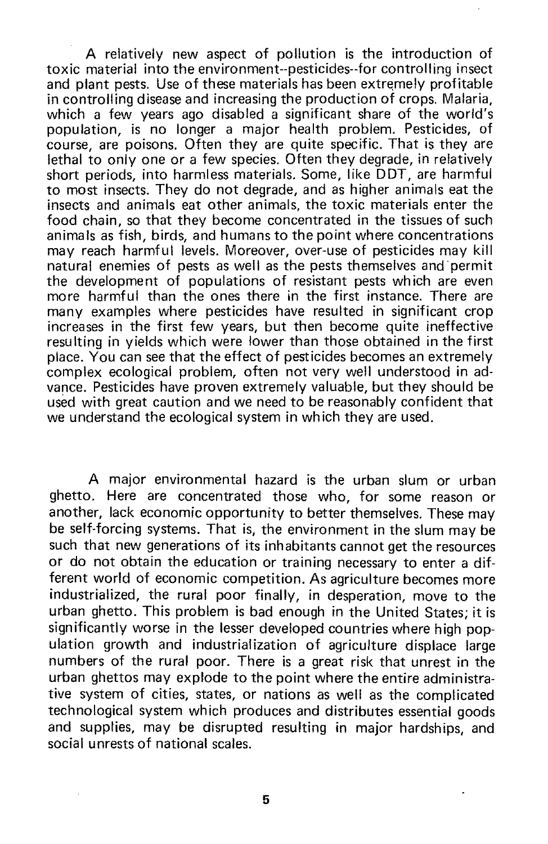A relatively new aspect of pollution is the introduction of toxic material into the environment--pesticides--for controlling insect and plant pests. Use of these materials has been extremely profitable in controlling disease and increasing the production of crops. Malaria, which a few years ago disabled a significant share of the world's population, is no longer a major health problem. Pesticides, of course, are poisons. Often they are quite specific. That is they are lethal to only one or a few species. Often they degrade, in relatively short periods, into harmless materials. Some, like DDT, are harmful to most insects. They do not degrade, and as higher animals eat the insects and animals eat other animals, the toxic materials enter the food chain, so that they become concentrated in the tissues of such animals as fish, birds, and humans to the point where concentrations may reach harmful levels. Moreover, over-use of pesticides may kill natural enemies of pests as well as the pests themselves and 'permit the development of populations of resistant pests which are even more harmful than the ones there in the first instance. There are many examples where pesticides have resulted in significant crop increases in the first few years, but then become quite ineffective resulting in yields which were lower than those obtained in the first place. You can see that the effect of pesticides becomes an extremely complex ecological problem, often not very well understood in advance. Pesticides have proven extremely valuable, but they should be used with great caution and we need to be reasonably confident that we understand the ecological system in which they are used.

A major environmental hazard is the urban slum or urban ghetto. Here are concentrated those who, for some reason or another, lack economic opportunity to better themselves. These may be self-forcing systems. That is, the environment in the slum may be such that new generations of its inhabitants cannot get the resources or do not obtain the education or training necessary to enter a different world of economic competition. As agriculture becomes more industrialized, the rural poor finally, in desperation, move to the urban ghetto. This problem is bad enough in the United States; it is significantly worse in the lesser developed countries where high population growth and industrialization of agriculture displace large numbers of the rural poor. There is a great risk that unrest in the urban ghettos may explode to the point where the entire administrative system of cities, states, or nations as well as the complicated technological system which produces and distributes essential goods and supplies, may be disrupted resulting in major hardships, and social unrests of national scales.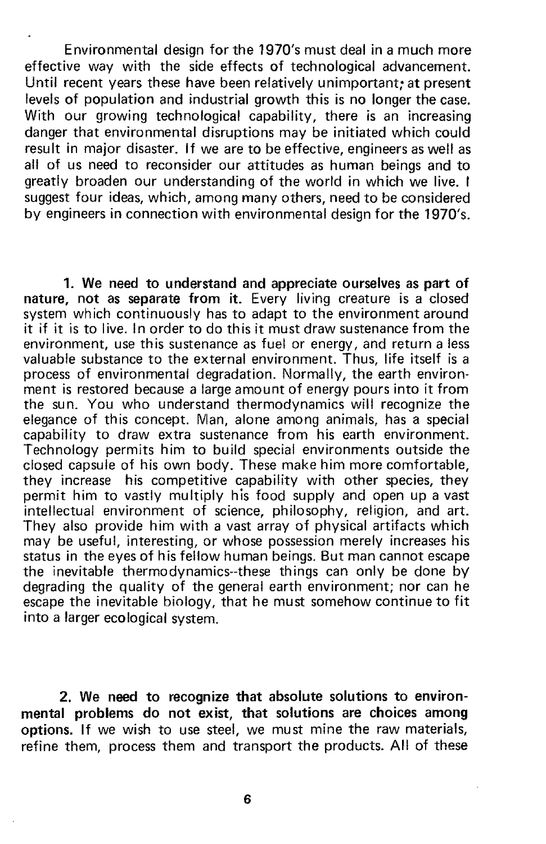Environmental design for the 1970's must deal in a much more effective way with the side effects of technological advancement. Until recent years these have been relatively unimportant; at present levels of population and industrial growth this is no longer the case. With our growing technological capability, there is an increasing danger that environmental disruptions may be initiated which could result in major disaster. If we are to be effective, engineers as well as all of us need to reconsider our attitudes as human beings and to greatly broaden our understanding of the world in which we live. I suggest four ideas, which, among many others, need to be considered by engineers in connection with environmental design for the 1970's.

1. We need to understand and appreciate ourselves as part of nature, not as separate from it. Every living creature is a closed system which continuously has to adapt to the environment around it if it is to live. In order to do this it must draw sustenance from the environment, use this sustenance as fuel or energy, and return a less valuable substance to the external environment. Thus, life itself is a process of environmental degradation. Normally, the earth environment is restored because a large amount of energy pours into it from the sun. You who understand thermodynamics will recognize the elegance of this concept. Man, alone among animals, has a special capability to draw extra sustenance from his earth environment. Technology permits him to build special environments outside the closed capsule of his own body. These make him more comfortable, they increase his competitive capability with other species, they permit him to vastly multiply his food supply and open up a vast intellectual environment of science, philosophy, religion, and art. They also provide him with a vast array of physical artifacts which may be useful, interesting, or whose possession merely increases his status in the eyes of his fellow human beings. But man cannot escape the inevitable thermodynamics--these things can only be done by degrading the Quality of the general earth environment; nor can he escape the inevitable biology, that he must somehow continue to fit into a larger ecological system.

2. We need to recognize that absolute solutions to environmental problems do not exist, that solutions are choices among options. If we wish to use steel, we must mine the raw materials, refine them, process them and transport the products. All of these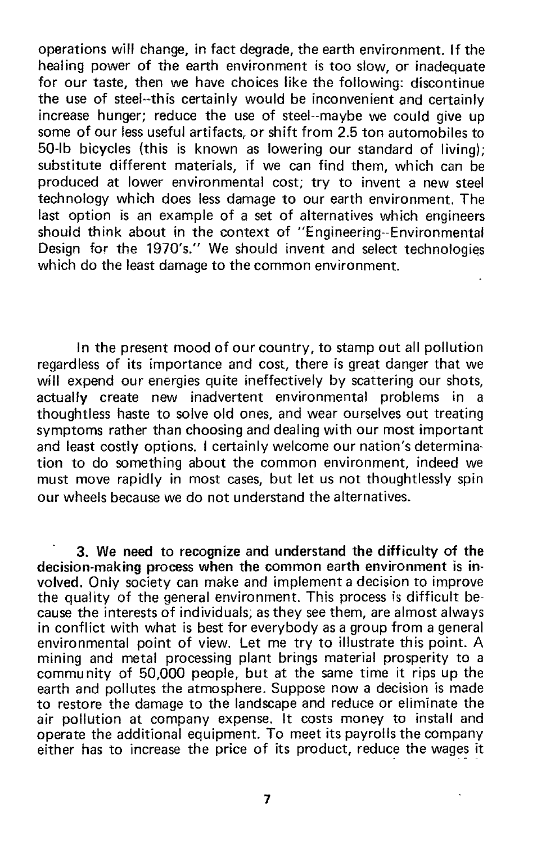operations will change, in fact degrade, the earth environment. If the healing power of the earth environment is too slow, or inadequate for our taste, then we have choices like the following: discontinue the use of steel--this certainly would be inconvenient and certainly increase hunger; reduce the use of steel--maybe we could give up some of our less useful artifacts, or shift from 2.5 ton automobiles to 50-lb bicycles (this is known as lowering our standard of living); substitute different materials, if we can find them, which can be produced at lower environmental cost; try to invent a new steel technology which does less damage to our earth environment. The last option is an example of a set of alternatives which engineers should think about in the context of "Engineering--Environmental Design for the 1970's." We should invent and select technologies which do the least damage to the common environment.

In the present mood of our country, to stamp out all pollution regardless of its importance and cost, there is great danger that we will expend our energies quite ineffectively by scattering our shots, actually create new inadvertent environmental problems in a thoughtless haste to solve old ones, and wear ourselves out treating symptoms rather than choosing and dealing with our most important and least costly options. I certainly welcome our nation's determination to do something about the common environment, indeed we must move rapidly in most cases, but let us not thoughtlessly spin our wheels because we do not understand the alternatives.

3. We need to recognize and understand the difficulty of the decision-making process when the common earth environment is involved. Only society can make and implement a decision to improve the quality of the general environment. This process is difficult because the interests of individuals; as they see them, are almost always in conflict with what is best for everybody as a group from a general environmental point of view. Let me try to illustrate this point. A mining and metal processing plant brings material prosperity to a commu nity of 50,000 people, but at the same time it rips up the earth and pollutes the atmosphere. Suppose now a decision is made to restore the damage to the landscape and reduce or eliminate the air pollution at company expense. It costs money to install and operate the additional equipment. To meet its payrolls the company either has to increase the price of its product, reduce the wages it

7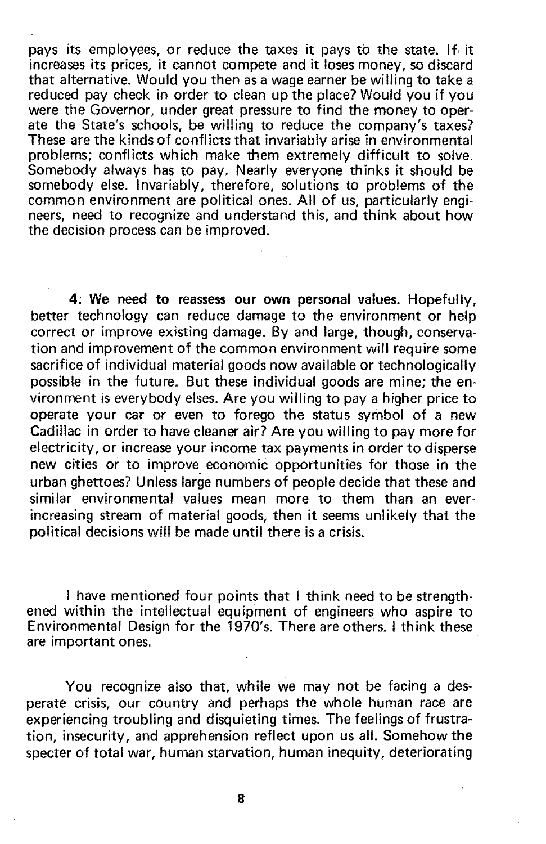pays its employees, or reduce the taxes it pays to the state. If it increases its prices, it cannot compete and it loses money, so discard that alternative. Would you then as a wage earner be willing to take a reduced pay check in order to clean up the place? Would you if you were the Governor, under great pressure to find the money to operate the State's schools, be willing to reduce the company's taxes? These are the kinds of conflicts that invariably arise in environmental problems; conflicts which make them extremely difficult to solve. Somebody always has to pay. Nearly everyone thinks it should be somebody else. Invariably, therefore, solutions to problems of the common environment are political ones. All of us, particularly engineers, need to recognize and understand this, and think about how the decision process can be improved.

4; We need to reassess our own personal values. Hopefully, better technology can reduce damage to the environment or help correct or improve existing damage. By and large, though, conservation and improvement of the common environment will require some sacrifice of individual material goods now available or technologically possible in the future. But these individual goods are mine; the environment is everybody elses. Are you willing to pay a higher price to operate your car or even to forego the status symbol of a new Cadillac in order to have cleaner air? Are you willing to pay more for electricity, or increase your income tax payments in order to disperse new cities or to improve economic opportunities for those in the urban ghettoes? Unless large numbers of people decide that these and similar environmental values mean more to them than an everincreasing stream of material goods, then it seems unlikely that the political decisions will be made until there is a crisis.

I have mentioned four points that I think need to be strengthened within the intellectual equipment of engineers who aspire to Environmental Design for the 1970's. There are others. I think these are important ones.

You recognize also that, while we may not be facing a desperate crisis, our country and perhaps the whole human race are experiencing troubling and disquieting times. The feelings of frustration, insecurity, and apprehension reflect upon us all. Somehow the specter of total war, human starvation, human inequity, deteriorating